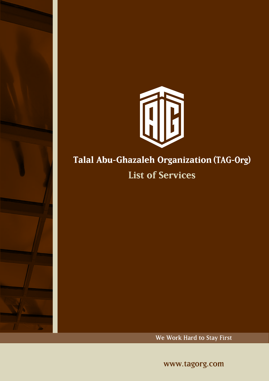

# **Talal Abu-Ghazaleh Organization (TAG-Org)**

**List of Services** 

We Work Hard to Stay First

www.tagorg.com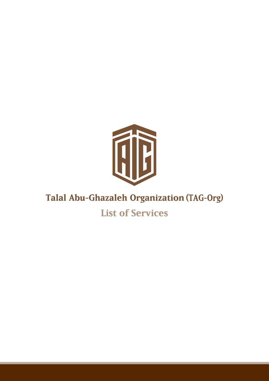

# **Talal Abu-Ghazaleh Organization (TAG-Org)**

**List of Services**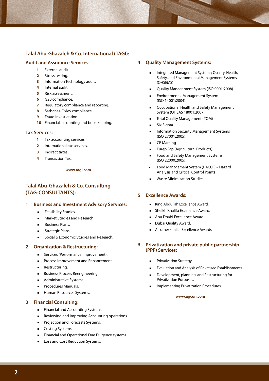# **Talal Abu-Ghazaleh & Co. International (TAGI):**

## **Audit and Assurance Services:**

- **1** External audit.
- **2** Stress testing.
- **3** Information Technology audit.
- **4** Internal audit.
- **5** Risk assessment.
- **6** G20 compliance.
- **7** Regulatory compliance and reporting.
- **8** Sarbanes-Oxley compliance.
- **9** Fraud Investigation.
- **10** Financial accounting and book keeping.

## **Tax Services:**

- **1** Tax accounting services.
- **2** International tax services.
- **3** Indirect taxes.
- **4** Transaction Tax.

## **www.tagi.com**

# **Talal Abu-Ghazaleh & Co. Consulting (TAG-CONSULTANTS):**

## **1 Business and Investment Advisory Services:**

- Feasibility Studies.
- **Market Studies and Research.**
- **Business Plans.**
- Strategic Plans.
- Social & Economic Studies and Research.

## **2 Organization & Restructuring:**

- **EXECUTE:** Services (Performance Improvement).
- **•** Process Improvement and Enhancement.
- **■** Restructuring.
- Business Process Reengineering.
- **EXECUTE:** Administrative Systems.
- **E** Procedures Manuals.
- **EXECUTE: Human Resources Systems.**

## **3 Financial Consulting:**

- **Exercial and Accounting Systems.**
- Reviewing and Improving Accounting operations.
- Projection and Forecasts Systems.
- Costing Systems.
- Financial and Operational Due Diligence systems.
- Loss and Cost Reduction Systems.

## **4 Quality Management Systems:**

- Integrated Management Systems; Quality, Health, Safety, and Environmental Management Systems (QHSEMS)
- ¿ Quality Management System (ISO 9001:2008)
- Environmental Management System (ISO 14001:2004)
- Occupational Health and Safety Management System (OHSAS 18001:2007)
- Total Quality Management (TQM)
- Six Sigma
- Information Security Management Systems (ISO 27001:2005)
- **E** CE Marking
- ¿ EurepGap (Agricultural Products)
- **Example 3 Food and Safety Management Systems** (ISO 22000:2005)
- Food Management System (HACCP) Hazard Analysis and Critical Control Points
- **Waste Minimization Studies**

## **5 Excellence Awards:**

- King Abdullah Excellence Award.
- Sheikh Khalifa Excellence Award.
- Abu Dhabi Excellence Award.
- **Dubai Quality Award.**
- **EXCELLENT All other similar Excellence Awards**

## **6 Privatization and private public partnership (PPP) Services:**

- Privatization Strategy.
- Evaluation and Analysis of Privatized Establishments.
- **EXECT:** Development, planning, and Restructuring for Privatization Purposes.
- ¿ Implementing Privatization Procedures.

## **www.agcon.com**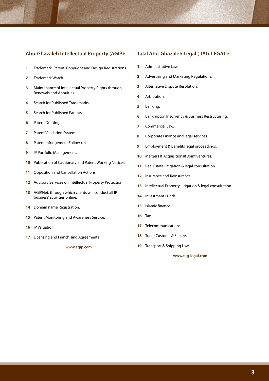# **Abu-Ghazaleh Intellectual Property (AGIP):**

- Trademark, Patent, Copyright and Design Registrations.
- Trademark Watch.
- Maintenance of Intellectual Property Rights through Renewals and Annuities.
- Search for Published Trademarks.
- Search for Published Patents.
- Patent Drafting.
- Patent Validation System.
- Patent Infringement Follow-up.
- IP Portfolio Management.
- Publication of Cautionary and Patent Working Notices.
- Opposition and Cancellation Actions.
- Advisory Services on Intellectual Property Protection.
- AGIP.Net; through which clients will conduct all IP business' activities online.
- Domain name Registration.
- Patent Monitoring and Awareness Service.
- IP Valuation.
- Licensing and Franchising Agreements

**www.agip.com**

## **Talal Abu-Ghazaleh Legal ( TAG-LEGAL):**

- Administrative Law.
- Advertising and Marketing Regulations.
- Alternative Dispute Resolution.
- Arbitration.
- Banking.
- Bankruptcy, Insolvency & Business Restructuring.
- Commercial Law.
- Corporate Finance and legal services.
- Employment & Benefits legal proceedings.
- Mergers & Acquisitions& Joint Ventures.
- Real Estate Litigation & legal consultation.
- Insurance and Reinsurance.
- Intellectual Property Litigation & legal consultation.
- Investment Funds.
- Islamic finance.
- Tax.
- Telecommunications.
- Trade Customs & Secrets.
- Transport & Shipping Law.

**www.tag-legal.com**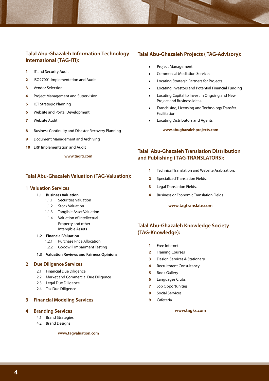# **Talal Abu-Ghazaleh Information Technology International (TAG-ITI):**

- **1** IT and Security Audit
- **2** ISO27001 Implementation and Audit
- **3** Vendor Selection
- **4** Project Management and Supervision
- **5** ICT Strategic Planning
- **6** Website and Portal Development
- **7** Website Audit
- **8** Business Continuity and Disaster Recovery Planning
- **9** Document Management and Archiving
- **10** ERP Implementation and Audit

**1.1 Business Valuation**

**1.2 Financial Valuation**

1.1.1 Securities Valuation 1.1.2 Stock Valuation

1.1.3 Tangible Asset Valuation 1.1.4 Valuation of Intellectual Property and other Intangible Assets

1.2.1 Purchase Price Allocation 1.2.2 Goodwill Impairment Testing **1.3 Valuation Reviews and Fairness Opinions**

2.2 Market and Commercial Due Diligence

**1 Valuation Services**

**www.tagiti.com**

**Talal Abu-Ghazaleh Valuation (TAG-Valuation):**

# **Talal Abu-Ghazaleh Projects ( TAG-Advisory):**

- **EXEC** Project Management
- **EXECOMMERCIAL Mediation Services**
- Locating Strategic Partners for Projects
- **EXEC** Locating Investors and Potential Financial Funding
- **Example 2** Locating Capital to Invest in Ongoing and New Project and Business Ideas.
- **Example 3 Franchising, Licensing and Technology Transfer** Facilitation
- Locating Distributors and Agents

**www.abughazalehprojects.com**

# **Talal Abu-Ghazaleh Translation Distribution and Publishing ( TAG-TRANSLATORS):**

- **1** Technical Translation and Website Arabization.
	- **2** Specialized Translation Fields.
	- **3** Legal Translation Fields.
	- **4** Business or Economic Translation Fields

**www.tagtranslate.com**

# **Talal Abu-Ghazaleh Knowledge Society (TAG-Knowledge):**

- **1** Free Internet
- **2** Training Courses
- **3** Design Services & Stationary
- **4** Recruitment Consultancy
- **5** Book Gallery
- **6** Languages Clubs
- **7** Job Opportunities
- **8** Social Services
- **9** Cafeteria

**www.tagks.com**

**2 Due Diligence Services**

2.1 Financial Due Diligence

2.3 Legal Due Diligence 2.4 Tax Due Diligence

**3 Financial Modeling Services**

- **4 Branding Services**
	- 4.1 Brand Strategies
	- 4.2 Brand Designs

**www.tagvaluation.com**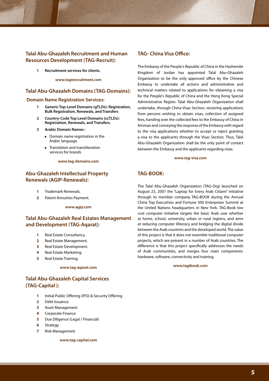# **Talal Abu-Ghazaleh Recruitment and Human Resources Development (TAG-Recruit):**

**1 Recruitment services for clients.**

**www.tagirecruitment.com**

## **Talal Abu-Ghazaleh Domains (TAG-Domains):**

## **Domain Name Registration Services:**

- **1 Generic Top-Level Domains (gTLDs): Registration, Bulk Registration, Renewals, and Transfers**
- **2 Country-Code Top Level Domains (ccTLDs): Registration, Renewals, and Transfers.**
- **3 Arabic Domain Names :**
	- **•** Domain name registration in the Arabic language.
	- **EXECUTE: Translation and transliteration** services for brands

**www.tag-domains.com**

## **Abu-Ghazaleh Intellectual Property Renewals (AGIP-Renewals):**

- **1** Trademark Renewals.
- **2** Patent Annuities Payment.

## **www.agip.com**

# **Talal Abu-Ghazaleh Real Estates Management and Development (TAG-Aqarat):**

- **1** Real Estate Consultancy.
- **2** Real Estate Management.
- **3** Real Estate Development.
- **4** Real Estate Marketing.
- **5** Real Estate Training.

### **www.tag-aqarat.com**

# **Talal Abu-Ghazaleh Capital Services (TAG-Capital ):**

- **1** Initial Public Offering (IPO) & Security Offering
- **2** Debt Issuance
- **3** Asset Management
- **4** Corporate Finance
- **5** Due Diligence (Legal / Financial)
- **6** Strategy
- **7** Risk Management

**www.tag-capital.com**

## **TAG- China Visa Office:**

The Embassy of the People's Republic of China in the Hashemite Kingdom of Jordan has appointed Talal Abu-Ghazaleh Organization to be the only approved office by the Chinese Embassy to undertake all actions and administrative and technical matters related to applications for obtaining a visa for the People's Republic of China and the Hong Kong Special Administrative Region. Talal Abu-Ghazaleh Organization shall undertake, through China Visas Section, receiving applications from persons wishing to obtain visas, collection of assigned fees, handing over the collected fees to the Embassy of China in Amman and conveying the response of the Embassy with regard to the visa applications whether to accept or reject granting a visa to the applicants through the Visas Section. Thus, Talal Abu-Ghazaleh Organization shall be the only point of contact between the Embassy and the applicants regarding visas.

## **www.tag-visa.com**

# **TAG-BOOK:**

The Talal Abu-Ghazaleh Organization (TAG-Org) launched on August 23, 2007 the "Laptop for Every Arab Citizen" initiative through its member company TAG-BOOK during the Annual China Top Executives and Fortune 500 Enterprises Summit at the United Nations headquarters in New York. TAG-Book low cost computer initiative targets the basic Arab user whether at home, school, university, urban or rural regions, and aims at reducing computer illiteracy and bridging the digital divide between the Arab countries and the developed world. The value of this project is that it does not resemble traditional computer projects, which are present in a number of Arab countries. The difference is that this project specifically addresses the needs of Arab communities, and merges four main components: hardware, software, connectivity and training.

**www.tagibook.com**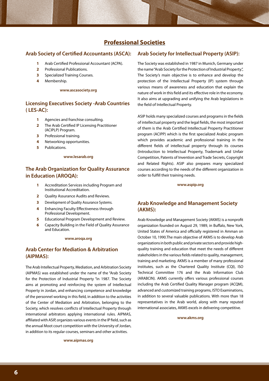# **Professional Societies**

## **Arab Society of Certified Accountants (ASCA):**

- **1** Arab Certified Professional Accountant (ACPA).
- **2** Professional Publications.
- **3** Specialized Training Courses.
- **4** Membership.

## **www.ascasociety.org**

# **Licensing Executives Society -Arab Countries ( LES-AC):**

- **1** Agencies and franchise consulting.
- **2** The Arab Certified IP Licensing Practitioner (ACIPLP) Program.
- **3** Professional training.
- **4** Networking opportunities.
- **5** Publications.

## **www.lesarab.org**

# **The Arab Organization for Quality Assurance in Education (AROQA):**

- **1** Accreditation Services including Program and Institutional Accreditation.
- **2** Quality Assurance Audits and Reviews.
- **3** Development of Quality Assurance Systems.
- **4** Enhancing Faculty Effectiveness through Professional Development.
- **5** Educational Program Development and Review.
- **6** Capacity Building in the Field of Quality Assurance and Education.

## **www.aroqa.org**

# **Arab Center for Mediation & Arbitration (AIPMAS):**

The Arab Intellectual Property, Mediation, and Arbitration Society (AIPMAS) was established under the name of the "Arab Society for the Protection of Industrial Property "in 1987. The Society aims at promoting and reinforcing the system of Intellectual Property in Jordan, and enhancing competence and knowledge of the personnel working in this field, in addition to the activities of the Center of Mediation and Arbitration, belonging to the Society, which resolves conflicts of Intellectual Property through international arbitrators applying international rules. AIPMAS, affiliated with ASIP, organizes various events in the IP field, such as the annual Moot court competition with the University of Jordan, in addition to its regular courses, seminars and other activities.

**www.aipmas.org**

## **Arab Society for Intellectual Property (ASIP):**

The Society was established in 1987 in Munich, Germany under the name "Arab Society for the Protection of Industrial Property.", The Society's main objective is to enhance and develop the protection of the Intellectual Property (IP) system through various means of awareness and education that explain the nature of work in this field and its effective role in the economy. It also aims at upgrading and unifying the Arab legislations in the field of Intellectual Property.

ASIP holds many specialized courses and programs in the fields of intellectual property and the legal fields, the most important of them is the Arab Certified Intellectual Property Practitioner program (ACIPP) which is the first specialized Arabic program which provides academic and professional training in the different fields of intellectual property through its courses (Introduction to Intellectual Property, Trademark and Unfair Competition, Patents of Invention and Trade Secrets, Copyright and Related Rights). ASIP also prepares many specialized courses according to the needs of the different organization in order to fulfill their training needs.

**www.aspip.org**

## **Arab Knowledge and Management Society (AKMS):**

Arab Knowledge and Management Society (AKMS) is a nonprofit organization founded on August 29, 1989, in Buffalo, New York, United States of America and officially registered in Amman on October 10, 1990.The main objective of AKMS is to develop Arab organizations in both public and private sectors and provide highquality training and education that meet the needs of different stakeholders in the various fields related to quality, management, training and marketing. AKMS is a member of many professional institutes, such as the Chartered Quality Institute (CQI), ISO Technical Committee 176 and the Arab Information Club (ARABCIN). AKMS currently offers various professional courses including the Arab Certified Quality Manager program (ACQM), advanced and customized training programs, ISTO Examinations, in addition to several valuable publications. With more than 18 representatives in the Arab world, along with many reputed international associates, AKMS excels in delivering competitive.

**www.akms.org**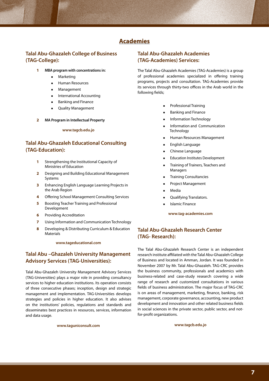# **Academies**

# **Talal Abu-Ghazaleh College of Business (TAG-College):**

- **1 MBA program with concentrations in:**
	- **■** Marketing
	- **E** Human Resources
	- **Management**
	- **International Accounting**
	- **Example 3 Banking and Finance**
	- **Ouality Management**
- **2 MA Program in Intellectual Property**

## **www.tagcb.edu.jo**

# **Talal Abu-Ghazaleh Educational Consulting (TAG-Education):**

- **1** Strengthening the Institutional Capacity of Ministries of Education
- **2** Designing and Building Educational Management Systems
- **3** Enhancing English Language Learning Projects in the Arab Region
- **4** Offering School Management Consulting Services
- **5** Boosting Teacher Training and Professional Development
- **6** Providing Accreditation
- **7** Using Information and Communication Technology
- **8** Developing & Distributing Curriculum & Education Materials

## **www.tageducational.com**

## **Talal Abu –Ghazaleh University Management Advisory Services (TAG-Universities):**

Talal Abu-Ghazaleh University Management Advisory Services (TAG-Universities) plays a major role in providing consultancy services to higher education institutions. Its operation consists of three consecutive phases; inception, design and strategic management and implementation. TAG-Universities develops strategies and policies in higher education. It also advises on the institutions' policies, regulations and standards and disseminates best practices in resources, services, information and data usage.

**www.taguniconsult.com**

# **Talal Abu-Ghazaleh Academies (TAG-Academies) Services:**

The Talal Abu-Ghazaleh Academies (TAG-Academies) is a group of professional academies specialized in offering training programs, projects and consultation. TAG-Academies provide its services through thirty-two offices in the Arab world in the following fields;

- **•** Professional Training
- **E** Banking and Finance
- Information Technology
- Information and Communication **Technology**
- **EXEC** Human Resources Management
- ¿ English Language
- ¿ Chinese Language
- **Education Institutes Development**
- **EXECUTE:** Training of Trainers, Teachers and Managers
- **Training Consultancies**
- Project Management
- **Media**
- Qualifying Translators.
- **Islamic Finance**

**www.tag-academies.com**

# **Talal Abu-Ghazaleh Research Center (TAG- Research):**

The Talal Abu-Ghazaleh Research Center is an independent research institute affiliated with the Talal Abu-Ghazaleh College of Business and located in Amman, Jordan. It was founded in November 2007 by Mr. Talal Abu-Ghazaleh. TAG-CRC provides the business community, professionals and academics with business-related and case-study research covering a wide range of research and customized consultations in various fields of business administration. The major focus of TAG-CRC is on areas of management, marketing, finance, banking, risk management, corporate governance, accounting, new product development and innovation and other related business fields in social sciences in the private sector, public sector, and notfor-profit organizations.

**www.tagcb.edu.jo**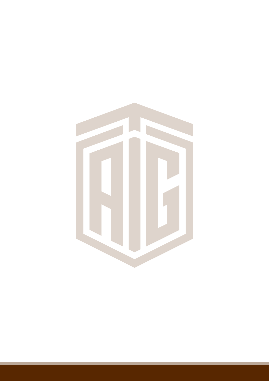